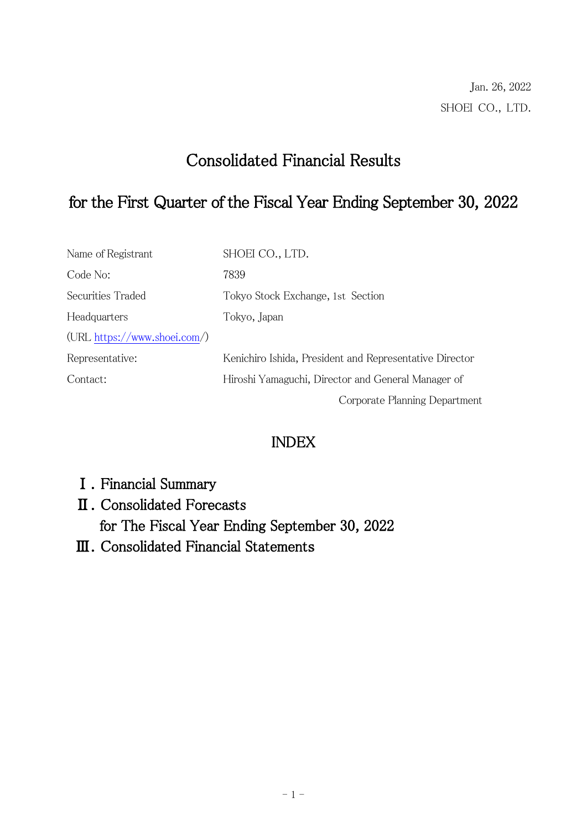# Consolidated Financial Results

# for the First Quarter of the Fiscal Year Ending September 30, 2022

| Name of Registrant             | SHOEI CO., LTD.                                         |
|--------------------------------|---------------------------------------------------------|
| Code No:                       | 7839                                                    |
| Securities Traded              | Tokyo Stock Exchange, 1st Section                       |
| Headquarters                   | Tokyo, Japan                                            |
| $(URL https://www.shoei.com/)$ |                                                         |
| Representative:                | Kenichiro Ishida, President and Representative Director |
| Contact:                       | Hiroshi Yamaguchi, Director and General Manager of      |
|                                | Corporate Planning Department                           |

# INDEX

- Ⅰ.Financial Summary
- Ⅱ.Consolidated Forecasts for The Fiscal Year Ending September 30, 2022
- Ⅲ.Consolidated Financial Statements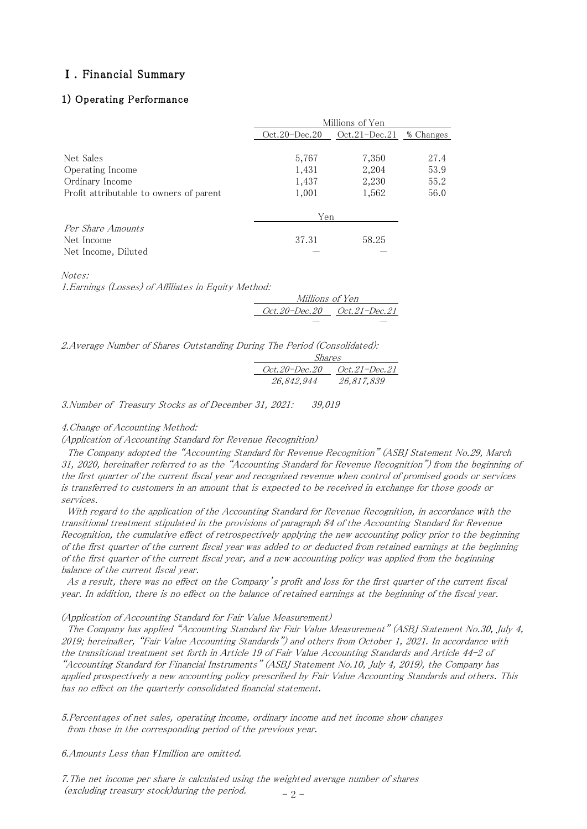#### Ⅰ.Financial Summary

#### 1) Operating Performance

|                                         | Millions of Yen                    |       |           |
|-----------------------------------------|------------------------------------|-------|-----------|
|                                         | Oct.21–Dec.21<br>$Oct.20 - Dec.20$ |       | % Changes |
|                                         |                                    |       |           |
| Net Sales                               | 5,767                              | 7,350 | 27.4      |
| Operating Income                        | 1,431                              | 2,204 | 53.9      |
| Ordinary Income                         | 1,437                              | 2,230 | 55.2      |
| Profit attributable to owners of parent | 1,001                              | 1,562 | 56.0      |
|                                         | Yen                                |       |           |
| Per Share Amounts                       |                                    |       |           |
| Net Income                              | 37.31                              | 58.25 |           |
| Net Income, Diluted                     |                                    |       |           |

| Millions of Yen             |  |  |  |
|-----------------------------|--|--|--|
| Oct.20-Dec.20 Oct.21-Dec.21 |  |  |  |
|                             |  |  |  |

| Net Income, Diluted                                                      |                             |            |
|--------------------------------------------------------------------------|-----------------------------|------------|
| Notes:                                                                   |                             |            |
| 1. Earnings (Losses) of Affiliates in Equity Method:                     |                             |            |
|                                                                          | Millions of Yen             |            |
|                                                                          |                             |            |
|                                                                          |                             |            |
| 2.Average Number of Shares Outstanding During The Period (Consolidated): | Shares                      |            |
|                                                                          | Oct.20-Dec.20 Oct.21-Dec.21 |            |
|                                                                          | 26.842.944                  | 26.817.839 |
| 3. Number of Treasury Stocks as of December 31, 2021:                    | 39,019                      |            |
| 4. Change of Accounting Method:                                          |                             |            |

(Application of Accounting Standard for Revenue Recognition)

 The Company adopted the "Accounting Standard for Revenue Recognition" (ASBJ Statement No.29, March 31, 2020, hereinafter referred to as the "Accounting Standard for Revenue Recognition") from the beginning of the first quarter of the current fiscal year and recognized revenue when control of promised goods or services is transferred to customers in an amount that is expected to be received in exchange for those goods or services.

 With regard to the application of the Accounting Standard for Revenue Recognition, in accordance with the transitional treatment stipulated in the provisions of paragraph 84 of the Accounting Standard for Revenue Recognition, the cumulative effect of retrospectively applying the new accounting policy prior to the beginning of the first quarter of the current fiscal year was added to or deducted from retained earnings at the beginning of the first quarter of the current fiscal year, and a new accounting policy was applied from the beginning balance of the current fiscal year.

 As a result, there was no effect on the Company's profit and loss for the first quarter of the current fiscal year. In addition, there is no effect on the balance of retained earnings at the beginning of the fiscal year.

(Application of Accounting Standard for Fair Value Measurement)

 The Company has applied "Accounting Standard for Fair Value Measurement" (ASBJ Statement No.30, July 4, 2019; hereinafter, "Fair Value Accounting Standards") and others from October 1, 2021. In accordance with the transitional treatment set forth in Article 19 of Fair Value Accounting Standards and Article 44-2 of "Accounting Standard for Financial Instruments" (ASBJ Statement No.10, July 4, 2019), the Company has applied prospectively a new accounting policy prescribed by Fair Value Accounting Standards and others. This has no effect on the quarterly consolidated financial statement.

5.Percentages of net sales, operating income, ordinary income and net income show changes from those in the corresponding period of the previous year.

6.Amounts Less than \1million are omitted.

 $-2-$ 7.The net income per share is calculated using the weighted average number of shares (excluding treasury stock)during the period.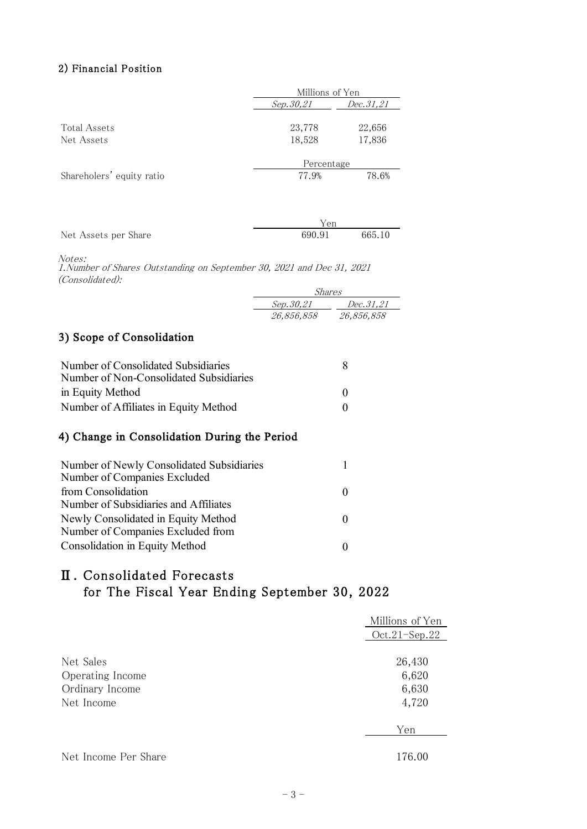#### 2) Financial Position

|                           | Millions of Yen        |        |
|---------------------------|------------------------|--------|
|                           | Dec.31,21<br>Sep.30,21 |        |
|                           |                        |        |
| <b>Total Assets</b>       | 23,778                 | 22,656 |
| Net Assets                | 18,528                 | 17,836 |
|                           |                        |        |
|                           | Percentage             |        |
| Shareholers' equity ratio | 77.9%                  | 78.6%  |
|                           |                        |        |
|                           |                        |        |
|                           |                        |        |

|                      | Yen    |        |
|----------------------|--------|--------|
| Net Assets per Share | 690.91 | 665.10 |

Notes:

1.Number of Shares Outstanding on September 30, 2021 and Dec 31, 2021 (Consolidated):

| Shares     |            |  |
|------------|------------|--|
| Sep.30.21  | Dec.31,21  |  |
| 26,856,858 | 26,856,858 |  |

## 3) Scope of Consolidation

| Number of Consolidated Subsidiaries<br>Number of Non-Consolidated Subsidiaries | x        |
|--------------------------------------------------------------------------------|----------|
| in Equity Method                                                               | $\theta$ |
| Number of Affiliates in Equity Method                                          |          |

## 4) Change in Consolidation During the Period

| Number of Newly Consolidated Subsidiaries<br>Number of Companies Excluded |              |
|---------------------------------------------------------------------------|--------------|
| from Consolidation                                                        | $\mathbf{0}$ |
| Number of Subsidiaries and Affiliates                                     |              |
| Newly Consolidated in Equity Method                                       |              |
| Number of Companies Excluded from                                         |              |
| <b>Consolidation in Equity Method</b>                                     |              |

## Ⅱ.Consolidated Forecasts for The Fiscal Year Ending September 30, 2022

|                      | Millions of Yen |
|----------------------|-----------------|
|                      | $Oct.21-Sep.22$ |
|                      |                 |
| Net Sales            | 26,430          |
| Operating Income     | 6,620           |
| Ordinary Income      | 6,630           |
| Net Income           | 4,720           |
|                      | Yen             |
|                      |                 |
| Net Income Per Share | 176.00          |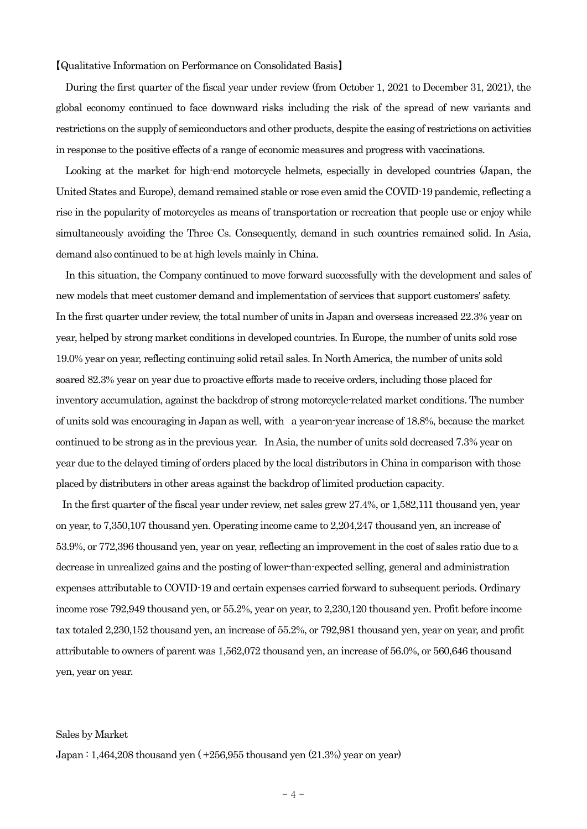【Qualitative Information on Performance on Consolidated Basis】

During the first quarter of the fiscal year under review (from October 1, 2021 to December 31, 2021), the global economy continued to face downward risks including the risk of the spread of new variants and restrictions on the supply of semiconductors and other products, despite the easing of restrictions on activities in response to the positive effects of a range of economic measures and progress with vaccinations.

Looking at the market for high-end motorcycle helmets, especially in developed countries (Japan, the United States and Europe), demand remained stable or rose even amid the COVID-19 pandemic, reflecting a rise in the popularity of motorcycles as means of transportation or recreation that people use or enjoy while simultaneously avoiding the Three Cs. Consequently, demand in such countries remained solid. In Asia, demand also continued to be at high levels mainly in China.

In this situation, the Company continued to move forward successfully with the development and sales of new models that meet customer demand and implementation of services that support customers' safety. In the first quarter under review, the total number of units in Japan and overseas increased 22.3% year on year, helped by strong market conditions in developed countries. In Europe, the number of units sold rose 19.0% year on year, reflecting continuing solid retail sales. In North America, the number of units sold soared 82.3% year on year due to proactive efforts made to receive orders, including those placed for inventory accumulation, against the backdrop of strong motorcycle-related market conditions. The number of units sold was encouraging in Japan as well, with a year-on-year increase of 18.8%, because the market continued to be strong as in the previous year. In Asia, the number of units sold decreased 7.3% year on year due to the delayed timing of orders placed by the local distributors in China in comparison with those placed by distributers in other areas against the backdrop of limited production capacity.

In the first quarter of the fiscal year under review, net sales grew 27.4%, or 1,582,111 thousand yen, year on year, to 7,350,107 thousand yen. Operating income came to 2,204,247 thousand yen, an increase of 53.9%, or 772,396 thousand yen, year on year, reflecting an improvement in the cost of sales ratio due to a decrease in unrealized gains and the posting of lower-than-expected selling, general and administration expenses attributable to COVID-19 and certain expenses carried forward to subsequent periods. Ordinary income rose 792,949 thousand yen, or 55.2%, year on year, to 2,230,120 thousand yen. Profit before income tax totaled 2,230,152 thousand yen, an increase of 55.2%, or 792,981 thousand yen, year on year, and profit attributable to owners of parent was 1,562,072 thousand yen, an increase of 56.0%, or 560,646 thousand yen, year on year.

#### Sales by Market

Japan : 1,464,208 thousand yen ( +256,955 thousand yen (21.3%) year on year)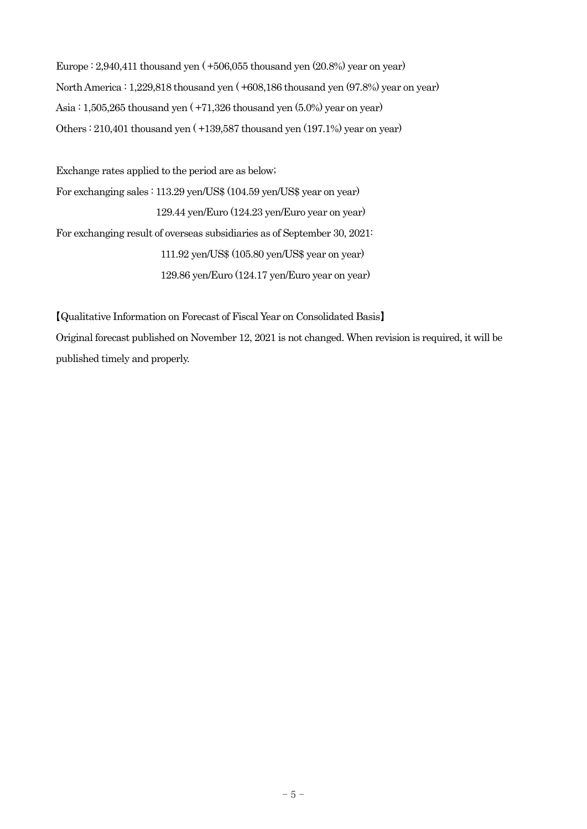Europe : 2,940,411 thousand yen ( +506,055 thousand yen (20.8%) year on year) North America : 1,229,818 thousand yen ( +608,186 thousand yen (97.8%) year on year) Asia : 1,505,265 thousand yen ( +71,326 thousand yen (5.0%) year on year) Others : 210,401 thousand yen ( +139,587 thousand yen (197.1%) year on year)

Exchange rates applied to the period are as below; For exchanging sales : 113.29 yen/US\$ (104.59 yen/US\$ year on year) 129.44 yen/Euro (124.23 yen/Euro year on year) For exchanging result of overseas subsidiaries as of September 30, 2021: 111.92 yen/US\$ (105.80 yen/US\$ year on year) 129.86 yen/Euro (124.17 yen/Euro year on year)

【Qualitative Information on Forecast of Fiscal Year on Consolidated Basis】 Original forecast published on November 12, 2021 is not changed. When revision is required, it will be published timely and properly.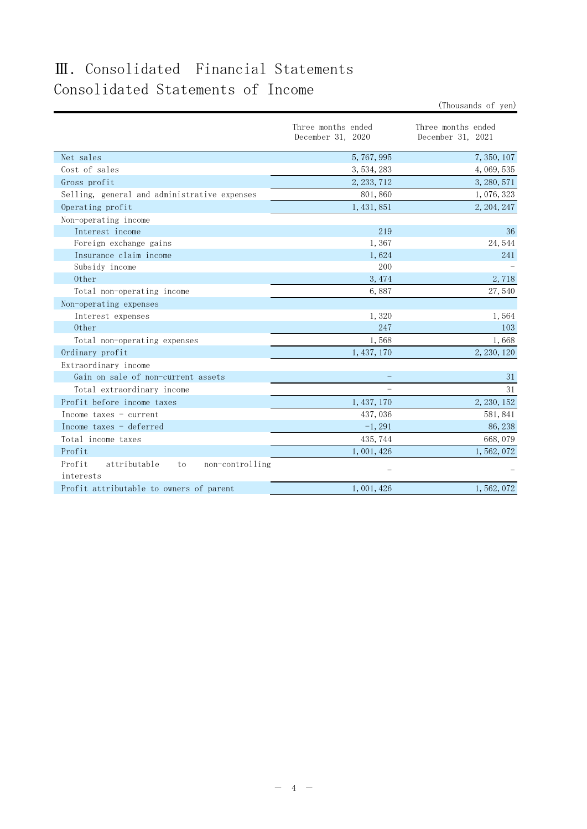# Ⅲ.Consolidated Financial Statements Consolidated Statements of Income

|                                                              |                                         | (Thousands of yen)                      |
|--------------------------------------------------------------|-----------------------------------------|-----------------------------------------|
|                                                              | Three months ended<br>December 31, 2020 | Three months ended<br>December 31, 2021 |
| Net sales                                                    | 5,767,995                               | 7, 350, 107                             |
| Cost of sales                                                | 3, 534, 283                             | 4, 069, 535                             |
| Gross profit                                                 | 2, 233, 712                             | 3, 280, 571                             |
| Selling, general and administrative expenses                 | 801,860                                 | 1,076,323                               |
| Operating profit                                             | 1, 431, 851                             | 2, 204, 247                             |
| Non-operating income                                         |                                         |                                         |
| Interest income                                              | 219                                     | 36                                      |
| Foreign exchange gains                                       | 1,367                                   | 24,544                                  |
| Insurance claim income                                       | 1,624                                   | 241                                     |
| Subsidy income                                               | 200                                     |                                         |
| Other                                                        | 3,474                                   | 2,718                                   |
| Total non-operating income                                   | 6,887                                   | 27,540                                  |
| Non-operating expenses                                       |                                         |                                         |
| Interest expenses                                            | 1,320                                   | 1,564                                   |
| Other                                                        | 247                                     | 103                                     |
| Total non-operating expenses                                 | 1,568                                   | 1,668                                   |
| Ordinary profit                                              | 1, 437, 170                             | 2, 230, 120                             |
| Extraordinary income                                         |                                         |                                         |
| Gain on sale of non-current assets                           |                                         | 31                                      |
| Total extraordinary income                                   |                                         | 31                                      |
| Profit before income taxes                                   | 1, 437, 170                             | 2, 230, 152                             |
| Income taxes - current                                       | 437,036                                 | 581, 841                                |
| Income taxes - deferred                                      | $-1,291$                                | 86, 238                                 |
| Total income taxes                                           | 435, 744                                | 668,079                                 |
| Profit                                                       | 1,001,426                               | 1,562,072                               |
| Profit<br>attributable<br>non-controlling<br>to<br>interests |                                         |                                         |
| Profit attributable to owners of parent                      | 1,001,426                               | 1, 562, 072                             |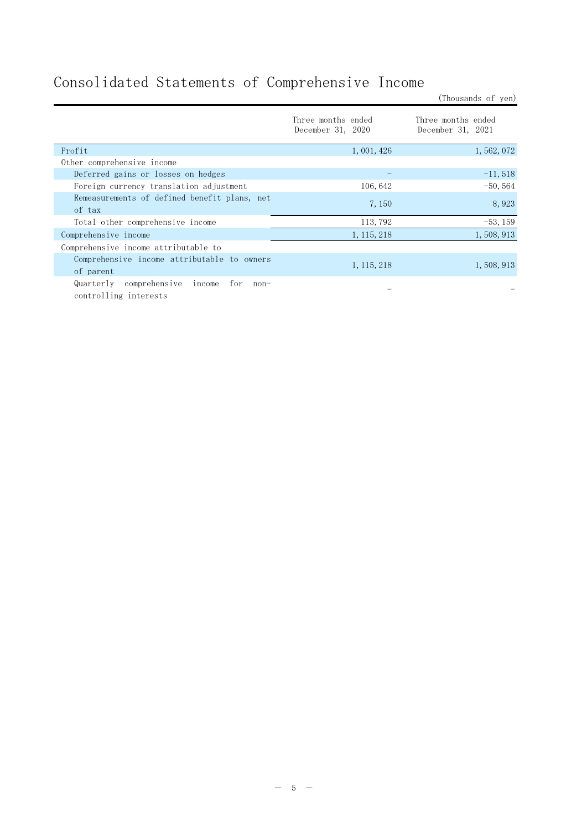# Consolidated Statements of Comprehensive Income

Three months ended December 31, 2020 Three months ended December 31, 2021 Profit  $1,001,426$   $1,562,072$ Other comprehensive income Deferred gains or losses on hedges  $-11,518$ Foreign currency translation adjustment 106,642 -50,564 Remeasurements of defined benefit plans, net of tax 7,150 8,923 Total other comprehensive income 113,792 -53,159  $\text{Complex}$  income 1,115,218 1,508,913 Comprehensive income attributable to Comprehensive income attributable to owners of parent 1,508,913<br>of parent 1,508,913 Quarterly comprehensive income for noncontrolling interests

(Thousands of yen)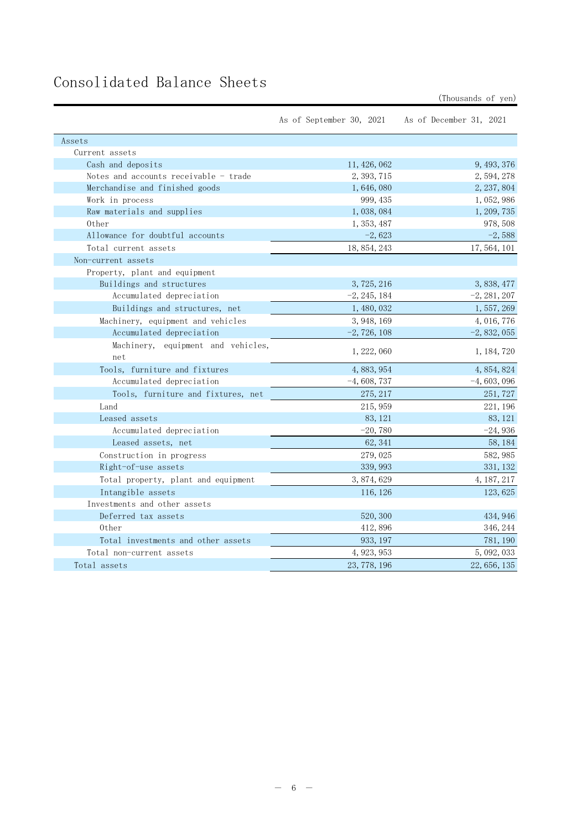# Consolidated Balance Sheets

(Thousands of yen)

|                                           | As of September 30, 2021 | As of December 31, 2021 |
|-------------------------------------------|--------------------------|-------------------------|
| Assets                                    |                          |                         |
| Current assets                            |                          |                         |
| Cash and deposits                         | 11, 426, 062             | 9, 493, 376             |
| Notes and accounts receivable - trade     | 2, 393, 715              | 2, 594, 278             |
| Merchandise and finished goods            | 1,646,080                | 2, 237, 804             |
| Work in process                           | 999, 435                 | 1,052,986               |
| Raw materials and supplies                | 1,038,084                | 1, 209, 735             |
| 0ther                                     | 1, 353, 487              | 978, 508                |
| Allowance for doubtful accounts           | $-2,623$                 | $-2,588$                |
| Total current assets                      | 18, 854, 243             | 17, 564, 101            |
| Non-current assets                        |                          |                         |
| Property, plant and equipment             |                          |                         |
| Buildings and structures                  | 3, 725, 216              | 3, 838, 477             |
| Accumulated depreciation                  | $-2, 245, 184$           | $-2, 281, 207$          |
| Buildings and structures, net             | 1, 480, 032              | 1, 557, 269             |
| Machinery, equipment and vehicles         | 3, 948, 169              | 4, 016, 776             |
| Accumulated depreciation                  | $-2, 726, 108$           | $-2,832,055$            |
| Machinery, equipment and vehicles,<br>net | 1, 222, 060              | 1, 184, 720             |
| Tools, furniture and fixtures             | 4, 883, 954              | 4, 854, 824             |
| Accumulated depreciation                  | $-4,608,737$             | $-4,603,096$            |
| Tools, furniture and fixtures, net        | 275, 217                 | 251, 727                |
| Land                                      | 215, 959                 | 221, 196                |
| Leased assets                             | 83, 121                  | 83, 121                 |
| Accumulated depreciation                  | $-20,780$                | $-24,936$               |
| Leased assets, net                        | 62, 341                  | 58, 184                 |
| Construction in progress                  | 279,025                  | 582, 985                |
| Right-of-use assets                       | 339, 993                 | 331, 132                |
| Total property, plant and equipment       | 3, 874, 629              | 4, 187, 217             |
| Intangible assets                         | 116, 126                 | 123, 625                |
| Investments and other assets              |                          |                         |
| Deferred tax assets                       | 520, 300                 | 434, 946                |
| 0ther                                     | 412,896                  | 346, 244                |
| Total investments and other assets        | 933, 197                 | 781, 190                |
| Total non-current assets                  | 4, 923, 953              | 5, 092, 033             |
| Total assets                              | 23, 778, 196             | 22, 656, 135            |